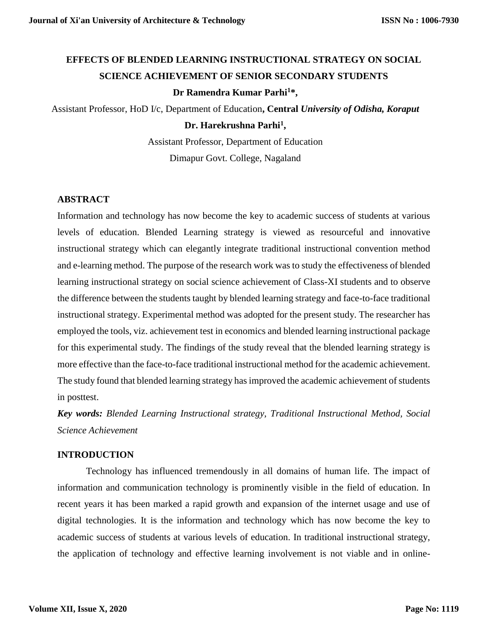# **EFFECTS OF BLENDED LEARNING INSTRUCTIONAL STRATEGY ON SOCIAL SCIENCE ACHIEVEMENT OF SENIOR SECONDARY STUDENTS Dr Ramendra Kumar Parhi<sup>1</sup>\*,**

Assistant Professor, HoD I/c, Department of Education**, Central** *University of Odisha, Koraput*

### **Dr. Harekrushna Parhi<sup>1</sup> ,**

Assistant Professor, Department of Education Dimapur Govt. College, Nagaland

### **ABSTRACT**

Information and technology has now become the key to academic success of students at various levels of education. Blended Learning strategy is viewed as resourceful and innovative instructional strategy which can elegantly integrate traditional instructional convention method and e-learning method. The purpose of the research work was to study the effectiveness of blended learning instructional strategy on social science achievement of Class-XI students and to observe the difference between the students taught by blended learning strategy and face-to-face traditional instructional strategy. Experimental method was adopted for the present study. The researcher has employed the tools, viz. achievement test in economics and blended learning instructional package for this experimental study. The findings of the study reveal that the blended learning strategy is more effective than the face-to-face traditional instructional method for the academic achievement. The study found that blended learning strategy has improved the academic achievement of students in posttest.

*Key words: Blended Learning Instructional strategy, Traditional Instructional Method, Social Science Achievement*

### **INTRODUCTION**

Technology has influenced tremendously in all domains of human life. The impact of information and communication technology is prominently visible in the field of education. In recent years it has been marked a rapid growth and expansion of the internet usage and use of digital technologies. It is the information and technology which has now become the key to academic success of students at various levels of education. In traditional instructional strategy, the application of technology and effective learning involvement is not viable and in online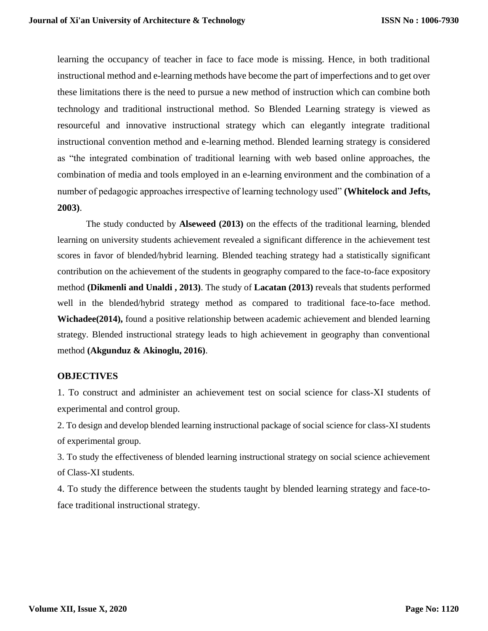learning the occupancy of teacher in face to face mode is missing. Hence, in both traditional instructional method and e-learning methods have become the part of imperfections and to get over these limitations there is the need to pursue a new method of instruction which can combine both technology and traditional instructional method. So Blended Learning strategy is viewed as resourceful and innovative instructional strategy which can elegantly integrate traditional instructional convention method and e-learning method. Blended learning strategy is considered as "the integrated combination of traditional learning with web based online approaches, the combination of media and tools employed in an e-learning environment and the combination of a number of pedagogic approaches irrespective of learning technology used" **(Whitelock and Jefts, 2003)**.

The study conducted by **Alseweed (2013)** on the effects of the traditional learning, blended learning on university students achievement revealed a significant difference in the achievement test scores in favor of blended/hybrid learning. Blended teaching strategy had a statistically significant contribution on the achievement of the students in geography compared to the face-to-face expository method **(Dikmenli and Unaldi , 2013)**. The study of **Lacatan (2013)** reveals that students performed well in the blended/hybrid strategy method as compared to traditional face-to-face method. **Wichadee(2014),** found a positive relationship between academic achievement and blended learning strategy. Blended instructional strategy leads to high achievement in geography than conventional method **(Akgunduz & Akinoglu, 2016)**.

### **OBJECTIVES**

1. To construct and administer an achievement test on social science for class-XI students of experimental and control group.

2. To design and develop blended learning instructional package of social science for class-XI students of experimental group.

3. To study the effectiveness of blended learning instructional strategy on social science achievement of Class-XI students.

4. To study the difference between the students taught by blended learning strategy and face-toface traditional instructional strategy.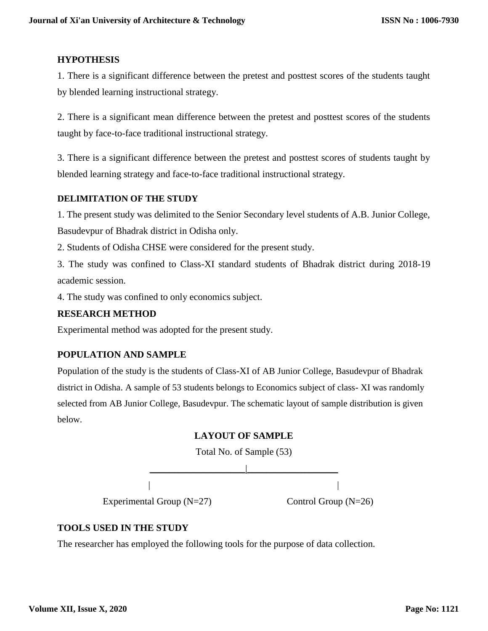# **HYPOTHESIS**

1. There is a significant difference between the pretest and posttest scores of the students taught by blended learning instructional strategy.

2. There is a significant mean difference between the pretest and posttest scores of the students taught by face-to-face traditional instructional strategy.

3. There is a significant difference between the pretest and posttest scores of students taught by blended learning strategy and face-to-face traditional instructional strategy.

# **DELIMITATION OF THE STUDY**

1. The present study was delimited to the Senior Secondary level students of A.B. Junior College, Basudevpur of Bhadrak district in Odisha only.

2. Students of Odisha CHSE were considered for the present study.

3. The study was confined to Class-XI standard students of Bhadrak district during 2018-19 academic session.

4. The study was confined to only economics subject.

# **RESEARCH METHOD**

Experimental method was adopted for the present study.

# **POPULATION AND SAMPLE**

Population of the study is the students of Class-XI of AB Junior College, Basudevpur of Bhadrak district in Odisha. A sample of 53 students belongs to Economics subject of class- XI was randomly selected from AB Junior College, Basudevpur. The schematic layout of sample distribution is given below.

# **LAYOUT OF SAMPLE**

Total No. of Sample (53)



# **TOOLS USED IN THE STUDY**

The researcher has employed the following tools for the purpose of data collection.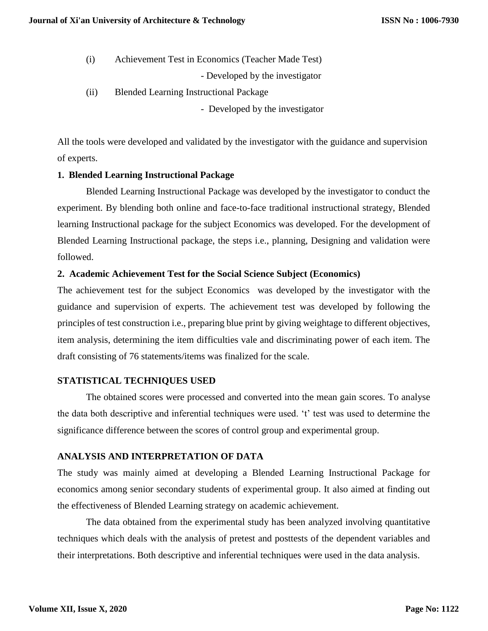(i) Achievement Test in Economics (Teacher Made Test)

- Developed by the investigator

- (ii) Blended Learning Instructional Package
	- Developed by the investigator

All the tools were developed and validated by the investigator with the guidance and supervision of experts.

### **1. Blended Learning Instructional Package**

Blended Learning Instructional Package was developed by the investigator to conduct the experiment. By blending both online and face-to-face traditional instructional strategy, Blended learning Instructional package for the subject Economics was developed. For the development of Blended Learning Instructional package, the steps i.e., planning, Designing and validation were followed.

### **2. Academic Achievement Test for the Social Science Subject (Economics)**

The achievement test for the subject Economics was developed by the investigator with the guidance and supervision of experts. The achievement test was developed by following the principles of test construction i.e., preparing blue print by giving weightage to different objectives, item analysis, determining the item difficulties vale and discriminating power of each item. The draft consisting of 76 statements/items was finalized for the scale.

### **STATISTICAL TECHNIQUES USED**

The obtained scores were processed and converted into the mean gain scores. To analyse the data both descriptive and inferential techniques were used. 't' test was used to determine the significance difference between the scores of control group and experimental group.

### **ANALYSIS AND INTERPRETATION OF DATA**

The study was mainly aimed at developing a Blended Learning Instructional Package for economics among senior secondary students of experimental group. It also aimed at finding out the effectiveness of Blended Learning strategy on academic achievement.

The data obtained from the experimental study has been analyzed involving quantitative techniques which deals with the analysis of pretest and posttests of the dependent variables and their interpretations. Both descriptive and inferential techniques were used in the data analysis.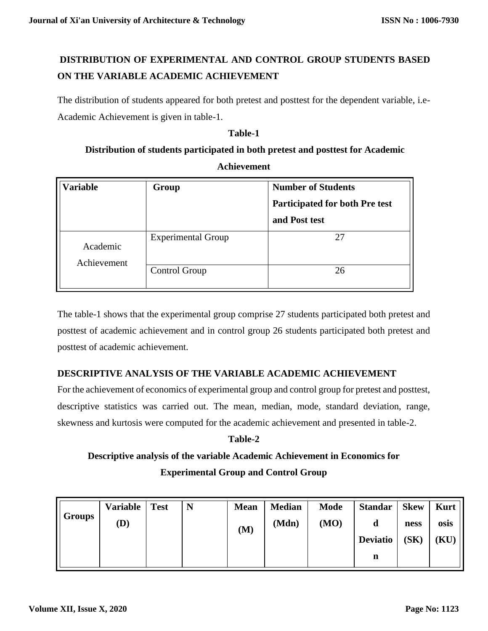# **DISTRIBUTION OF EXPERIMENTAL AND CONTROL GROUP STUDENTS BASED ON THE VARIABLE ACADEMIC ACHIEVEMENT**

The distribution of students appeared for both pretest and posttest for the dependent variable, i.e-Academic Achievement is given in table-1.

### **Table-1**

# **Distribution of students participated in both pretest and posttest for Academic Achievement**

| Variable                | Group                                      | <b>Number of Students</b><br><b>Participated for both Pre test</b><br>and Post test<br>27<br>26 |  |
|-------------------------|--------------------------------------------|-------------------------------------------------------------------------------------------------|--|
|                         |                                            |                                                                                                 |  |
| Academic<br>Achievement | <b>Experimental Group</b><br>Control Group |                                                                                                 |  |

The table-1 shows that the experimental group comprise 27 students participated both pretest and posttest of academic achievement and in control group 26 students participated both pretest and posttest of academic achievement.

# **DESCRIPTIVE ANALYSIS OF THE VARIABLE ACADEMIC ACHIEVEMENT**

For the achievement of economics of experimental group and control group for pretest and posttest, descriptive statistics was carried out. The mean, median, mode, standard deviation, range, skewness and kurtosis were computed for the academic achievement and presented in table-2.

### **Table-2**

# **Descriptive analysis of the variable Academic Achievement in Economics for Experimental Group and Control Group**

|               | <b>Variable</b> | <b>Test</b> | N | <b>Mean</b> | <b>Median</b> | <b>Mode</b> | <b>Standar</b>  | <b>Skew</b> | <b>Kurt</b> |
|---------------|-----------------|-------------|---|-------------|---------------|-------------|-----------------|-------------|-------------|
| <b>Groups</b> | (D)             |             |   | (M)         | (Mdn)         | (MO)        |                 | ness        | osis        |
|               |                 |             |   |             |               |             | <b>Deviatio</b> | (SK)        | (KU)        |
|               |                 |             |   |             |               |             | n               |             |             |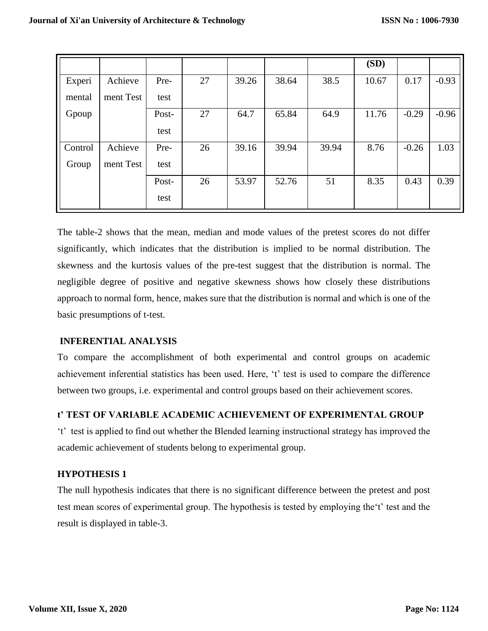|         |           |       |    |       |       |       | (SD)  |         |         |
|---------|-----------|-------|----|-------|-------|-------|-------|---------|---------|
| Experi  | Achieve   | Pre-  | 27 | 39.26 | 38.64 | 38.5  | 10.67 | 0.17    | $-0.93$ |
| mental  | ment Test | test  |    |       |       |       |       |         |         |
| Gpoup   |           | Post- | 27 | 64.7  | 65.84 | 64.9  | 11.76 | $-0.29$ | $-0.96$ |
|         |           | test  |    |       |       |       |       |         |         |
| Control | Achieve   | Pre-  | 26 | 39.16 | 39.94 | 39.94 | 8.76  | $-0.26$ | 1.03    |
| Group   | ment Test | test  |    |       |       |       |       |         |         |
|         |           | Post- | 26 | 53.97 | 52.76 | 51    | 8.35  | 0.43    | 0.39    |
|         |           | test  |    |       |       |       |       |         |         |

The table-2 shows that the mean, median and mode values of the pretest scores do not differ significantly, which indicates that the distribution is implied to be normal distribution. The skewness and the kurtosis values of the pre-test suggest that the distribution is normal. The negligible degree of positive and negative skewness shows how closely these distributions approach to normal form, hence, makes sure that the distribution is normal and which is one of the basic presumptions of t-test.

# **INFERENTIAL ANALYSIS**

To compare the accomplishment of both experimental and control groups on academic achievement inferential statistics has been used. Here, 't' test is used to compare the difference between two groups, i.e. experimental and control groups based on their achievement scores.

# **t' TEST OF VARIABLE ACADEMIC ACHIEVEMENT OF EXPERIMENTAL GROUP**

't' test is applied to find out whether the Blended learning instructional strategy has improved the academic achievement of students belong to experimental group.

### **HYPOTHESIS 1**

The null hypothesis indicates that there is no significant difference between the pretest and post test mean scores of experimental group. The hypothesis is tested by employing the't' test and the result is displayed in table-3.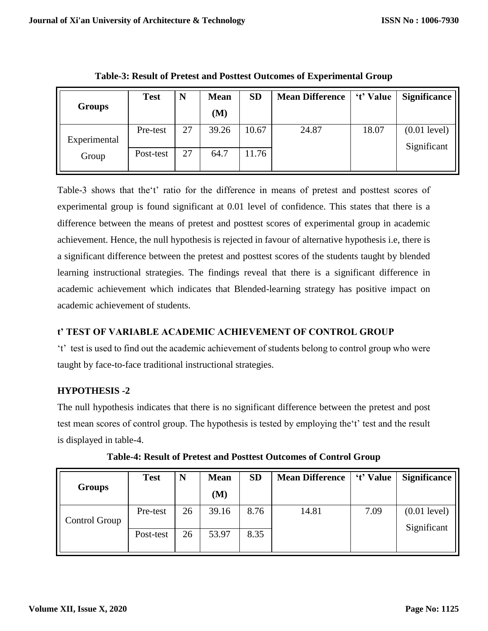|               | <b>Test</b> | N  | <b>Mean</b> | <b>SD</b> | <b>Mean Difference</b> | 't' Value | <b>Significance</b>           |
|---------------|-------------|----|-------------|-----------|------------------------|-----------|-------------------------------|
| <b>Groups</b> |             |    | (M)         |           |                        |           |                               |
| Experimental  | Pre-test    | 27 | 39.26       | 10.67     | 24.87                  | 18.07     | $(0.01$ level)<br>Significant |
| Group         | Post-test   | 27 | 64.7        | 11.76     |                        |           |                               |

**Table-3: Result of Pretest and Posttest Outcomes of Experimental Group**

Table-3 shows that the't' ratio for the difference in means of pretest and posttest scores of experimental group is found significant at 0.01 level of confidence. This states that there is a difference between the means of pretest and posttest scores of experimental group in academic achievement. Hence, the null hypothesis is rejected in favour of alternative hypothesis i.e, there is a significant difference between the pretest and posttest scores of the students taught by blended learning instructional strategies. The findings reveal that there is a significant difference in academic achievement which indicates that Blended-learning strategy has positive impact on academic achievement of students.

# **t' TEST OF VARIABLE ACADEMIC ACHIEVEMENT OF CONTROL GROUP**

't' test is used to find out the academic achievement of students belong to control group who were taught by face-to-face traditional instructional strategies.

# **HYPOTHESIS -2**

The null hypothesis indicates that there is no significant difference between the pretest and post test mean scores of control group. The hypothesis is tested by employing the't' test and the result is displayed in table-4.

|               | <b>Test</b> | N  | <b>Mean</b> | <b>SD</b> | <b>Mean Difference</b> | 't' Value | <b>Significance</b>           |
|---------------|-------------|----|-------------|-----------|------------------------|-----------|-------------------------------|
| <b>Groups</b> |             |    | (M)         |           |                        |           |                               |
| Control Group | Pre-test    | 26 | 39.16       | 8.76      | 14.81                  | 7.09      | $(0.01$ level)<br>Significant |
|               | Post-test   | 26 | 53.97       | 8.35      |                        |           |                               |

**Table-4: Result of Pretest and Posttest Outcomes of Control Group**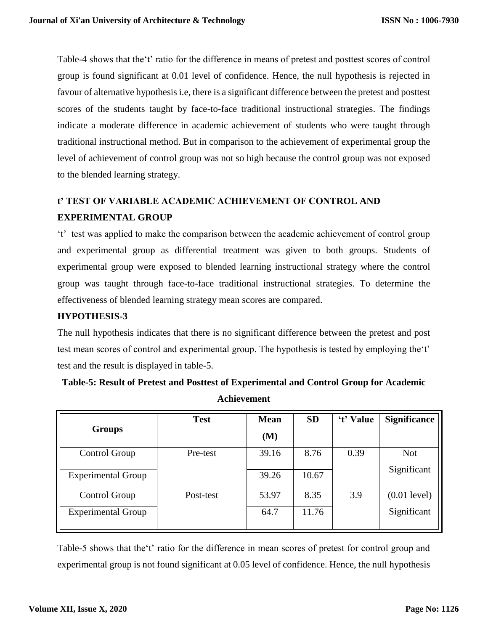Table-4 shows that the't' ratio for the difference in means of pretest and posttest scores of control group is found significant at 0.01 level of confidence. Hence, the null hypothesis is rejected in favour of alternative hypothesis i.e, there is a significant difference between the pretest and posttest scores of the students taught by face-to-face traditional instructional strategies. The findings indicate a moderate difference in academic achievement of students who were taught through traditional instructional method. But in comparison to the achievement of experimental group the level of achievement of control group was not so high because the control group was not exposed to the blended learning strategy.

# **t' TEST OF VARIABLE ACADEMIC ACHIEVEMENT OF CONTROL AND EXPERIMENTAL GROUP**

't' test was applied to make the comparison between the academic achievement of control group and experimental group as differential treatment was given to both groups. Students of experimental group were exposed to blended learning instructional strategy where the control group was taught through face-to-face traditional instructional strategies. To determine the effectiveness of blended learning strategy mean scores are compared.

### **HYPOTHESIS-3**

The null hypothesis indicates that there is no significant difference between the pretest and post test mean scores of control and experimental group. The hypothesis is tested by employing the't' test and the result is displayed in table-5.

| <b>Groups</b>             | <b>Test</b> | <b>Mean</b> | <b>SD</b> | 't' Value | <b>Significance</b> |
|---------------------------|-------------|-------------|-----------|-----------|---------------------|
|                           |             | (M)         |           |           |                     |
| Control Group             | Pre-test    | 39.16       | 8.76      | 0.39      | <b>Not</b>          |
|                           |             |             |           |           |                     |
| <b>Experimental Group</b> |             | 39.26       | 10.67     |           | Significant         |
| Control Group             | Post-test   | 53.97       | 8.35      | 3.9       | $(0.01$ level)      |
| <b>Experimental Group</b> |             | 64.7        | 11.76     |           | Significant         |
|                           |             |             |           |           |                     |

**Table-5: Result of Pretest and Posttest of Experimental and Control Group for Academic Achievement**

Table-5 shows that the't' ratio for the difference in mean scores of pretest for control group and experimental group is not found significant at 0.05 level of confidence. Hence, the null hypothesis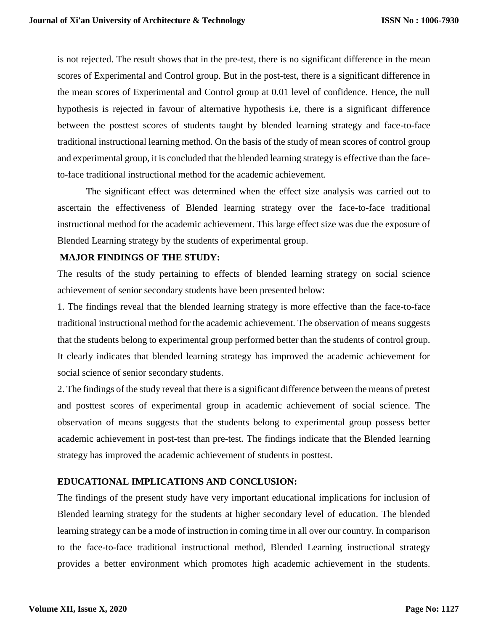is not rejected. The result shows that in the pre-test, there is no significant difference in the mean scores of Experimental and Control group. But in the post-test, there is a significant difference in the mean scores of Experimental and Control group at 0.01 level of confidence. Hence, the null hypothesis is rejected in favour of alternative hypothesis i.e, there is a significant difference between the posttest scores of students taught by blended learning strategy and face-to-face traditional instructional learning method. On the basis of the study of mean scores of control group and experimental group, it is concluded that the blended learning strategy is effective than the faceto-face traditional instructional method for the academic achievement.

The significant effect was determined when the effect size analysis was carried out to ascertain the effectiveness of Blended learning strategy over the face-to-face traditional instructional method for the academic achievement. This large effect size was due the exposure of Blended Learning strategy by the students of experimental group.

### **MAJOR FINDINGS OF THE STUDY:**

The results of the study pertaining to effects of blended learning strategy on social science achievement of senior secondary students have been presented below:

1. The findings reveal that the blended learning strategy is more effective than the face-to-face traditional instructional method for the academic achievement. The observation of means suggests that the students belong to experimental group performed better than the students of control group. It clearly indicates that blended learning strategy has improved the academic achievement for social science of senior secondary students.

2. The findings of the study reveal that there is a significant difference between the means of pretest and posttest scores of experimental group in academic achievement of social science. The observation of means suggests that the students belong to experimental group possess better academic achievement in post-test than pre-test. The findings indicate that the Blended learning strategy has improved the academic achievement of students in posttest.

### **EDUCATIONAL IMPLICATIONS AND CONCLUSION:**

The findings of the present study have very important educational implications for inclusion of Blended learning strategy for the students at higher secondary level of education. The blended learning strategy can be a mode of instruction in coming time in all over our country. In comparison to the face-to-face traditional instructional method, Blended Learning instructional strategy provides a better environment which promotes high academic achievement in the students.